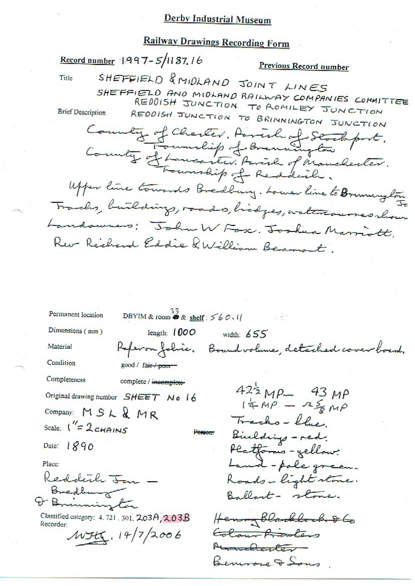## **Derby Industrial Museum**

# **Railway Drawings Recording Form**

Record number 1997-5/1187.16 Previous Record number SHEFFIELD & MIDLAND JOINT LINES Title SHEFFIELD AND MIDLAND RAILWAY COMPANIES COMMITTEE REDDISH JUNCTION TO ROMILEY JUNCTION **Brief Description** REDDISH JUNCTION TO BRINNINGTON JUNCTION County of Charles. Parish of Stocksport.<br>County of Lancaster. Farish of Manchester. Upper line towards Bredburg. Lower line to Brunnington Trades, building, roads, bidges, watercourses show Landoures: John W Fox. Joshua Marriott. Rev Rechard Eddie QWilliam Beamont. DBYIM & room  $\overset{33}{\bullet}$  & shelf: 560.11 Permanent location Dimensions (mm) length:  $1000$ width:  $655$ Referan folice. Boundvolume, detached cover board. Material Condition good / fair / poor Completeness complete / incomplete- $42\frac{1}{2}MP - 43MP$ <br> $14MP - 25MP$ Original drawing number SHEET No 16 Company: MSL&MR Tracks-blue Scale:  $1'' = 2c$ HAINS Binlding - red. Person: Date:  $1890$ Platforms - yellow: Land-pole green. Place: Reddeter T Roads-light stone. Bredburg ton Ballart- stone. Classified category: 4, 721, 301, 203A, 203B Henry Blackbook & Go Recorder:  $MHK.14/7/2006$ Colour Proders Abranchester Benevore & Sons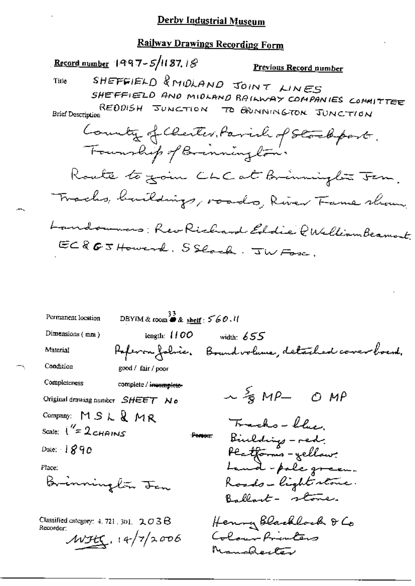## **Railway Drawings Recording Form**

Record number 1997-5/1187, 18 Previous Record number SHEFFIELD & MIDLAND JOINT LINES Title SHEFFIELD AND MIDLAND RAILWAY COMPANIES COMMITTEE REDDISH JUNCTION TO BRANINGTON JUNCTION **Brief Description** County of Clerter, Parish of Stockport, Founship of Brinning ton. Route to goin CLC at Brinninglow Jem. Tracks, buildings, roads, River Fame show, Landowners: Rev Richard Eddie PWelliambeamout ECROJHoward. SSlock. JWForc.

DBYIM & room  $\overset{33}{\bullet}$  & shelf:  $560.11$ Permanent location Dimensions  $(mn)$ length:  $1100$ width:  $655$ Paperon folice. Bound volume, detailed cover board. Material Condition good / fair / poor Completeness complete / incomplete- $\sim$   $\frac{5}{8}$  MP  $\sigma$  MP Original drawing number SHEET No Company: MSL&MR Tracks-blue. Scale:  $\int_{-\infty}^{\infty} 2c_{\text{H精}}$ Biulding - red. Ренот. Platforms - yellow:<br>Land - pale green. Date:  $1890$ Place: Brinning*lä*r <del>J</del>an Roads-light stone. Ballant - stone. Henry Blacklock & Co Classified category: 4, 721, 301,  $203B$ Recorder: Colour Printers  $M345.14/7/2006$ Manderter